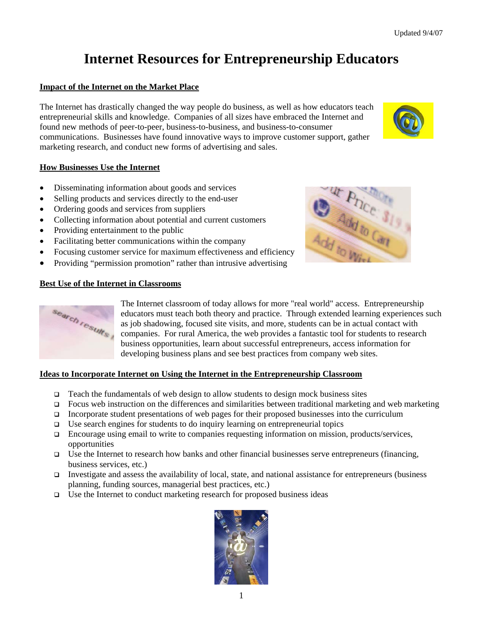# **Internet Resources for Entrepreneurship Educators**

#### **Impact of the Internet on the Market Place**

The Internet has drastically changed the way people do business, as well as how educators teach entrepreneurial skills and knowledge. Companies of all sizes have embraced the Internet and found new methods of peer-to-peer, business-to-business, and business-to-consumer communications. Businesses have found innovative ways to improve customer support, gather marketing research, and conduct new forms of advertising and sales.

#### **How Businesses Use the Internet**

- Disseminating information about goods and services
- Selling products and services directly to the end-user
- Ordering goods and services from suppliers
- Collecting information about potential and current customers
- Providing entertainment to the public
- Facilitating better communications within the company
- Focusing customer service for maximum effectiveness and efficiency
- Providing "permission promotion" rather than intrusive advertising

#### **Best Use of the Internet in Classrooms**

search results

The Internet classroom of today allows for more "real world" access. Entrepreneurship educators must teach both theory and practice. Through extended learning experiences such as job shadowing, focused site visits, and more, students can be in actual contact with companies. For rural America, the web provides a fantastic tool for students to research business opportunities, learn about successful entrepreneurs, access information for developing business plans and see best practices from company web sites.

#### **Ideas to Incorporate Internet on Using the Internet in the Entrepreneurship Classroom**

- **Teach the fundamentals of web design to allow students to design mock business sites**
- Focus web instruction on the differences and similarities between traditional marketing and web marketing
- Incorporate student presentations of web pages for their proposed businesses into the curriculum
- $\Box$  Use search engines for students to do inquiry learning on entrepreneurial topics
- □ Encourage using email to write to companies requesting information on mission, products/services, opportunities
- □ Use the Internet to research how banks and other financial businesses serve entrepreneurs (financing, business services, etc.)
- Investigate and assess the availability of local, state, and national assistance for entrepreneurs (business planning, funding sources, managerial best practices, etc.)
- $\square$  Use the Internet to conduct marketing research for proposed business ideas





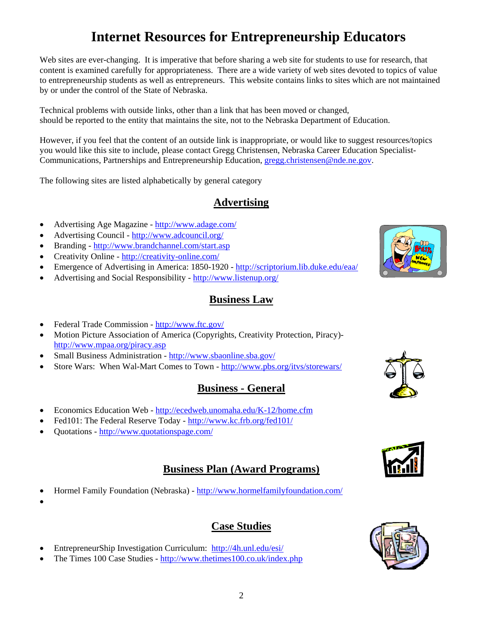# **Internet Resources for Entrepreneurship Educators**

Web sites are ever-changing. It is imperative that before sharing a web site for students to use for research, that content is examined carefully for appropriateness. There are a wide variety of web sites devoted to topics of value to entrepreneurship students as well as entrepreneurs. This website contains links to sites which are not maintained by or under the control of the State of Nebraska.

Technical problems with outside links, other than a link that has been moved or changed, should be reported to the entity that maintains the site, not to the Nebraska Department of Education.

However, if you feel that the content of an outside link is inappropriate, or would like to suggest resources/topics you would like this site to include, please contact Gregg Christensen, Nebraska Career Education Specialist-Communications, Partnerships and Entrepreneurship Education, gregg.christensen@nde.ne.gov.

The following sites are listed alphabetically by general category

# **Advertising**

- Advertising Age Magazine http://www.adage.com/
- Advertising Council http://www.adcouncil.org/
- Branding http://www.brandchannel.com/start.asp
- Creativity Online http://creativity-online.com/
- Emergence of Advertising in America: 1850-1920 http://scriptorium.lib.duke.edu/eaa/
- Advertising and Social Responsibility http://www.listenup.org/

#### **Business Law**

- Federal Trade Commission http://www.ftc.gov/
- Motion Picture Association of America (Copyrights, Creativity Protection, Piracy)http://www.mpaa.org/piracy.asp
- Small Business Administration http://www.sbaonline.sba.gov/
- Store Wars: When Wal-Mart Comes to Town http://www.pbs.org/itvs/storewars/

## **Business - General**

- Economics Education Web http://ecedweb.unomaha.edu/K-12/home.cfm
- Fed101: The Federal Reserve Today http://www.kc.frb.org/fed101/
- Quotations http://www.quotationspage.com/

#### **Business Plan (Award Programs)**

- Hormel Family Foundation (Nebraska) http://www.hormelfamilyfoundation.com/
- •
- **Case Studies**
- EntrepreneurShip Investigation Curriculum: http://4h.unl.edu/esi/
- The Times 100 Case Studies http://www.thetimes100.co.uk/index.php







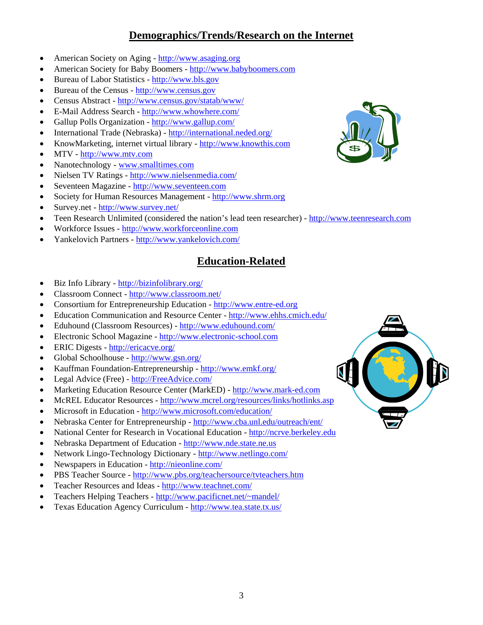## **Demographics/Trends/Research on the Internet**

- American Society on Aging http://www.asaging.org
- American Society for Baby Boomers http://www.babyboomers.com
- Bureau of Labor Statistics http://www.bls.gov
- Bureau of the Census http://www.census.gov
- Census Abstract http://www.census.gov/statab/www/
- E-Mail Address Search http://www.whowhere.com/
- Gallup Polls Organization http://www.gallup.com/
- International Trade (Nebraska) http://international.neded.org/
- KnowMarketing, internet virtual library http://www.knowthis.com
- MTV http://www.mtv.com
- Nanotechnology www.smalltimes.com
- Nielsen TV Ratings http://www.nielsenmedia.com/
- Seventeen Magazine http://www.seventeen.com
- Society for Human Resources Management http://www.shrm.org
- Survey.net http://www.survey.net/
- Teen Research Unlimited (considered the nation's lead teen researcher) http://www.teenresearch.com
- Workforce Issues http://www.workforceonline.com
- Yankelovich Partners http://www.yankelovich.com/

# **Education-Related**

- Biz Info Library http://bizinfolibrary.org/
- Classroom Connect http://www.classroom.net/
- Consortium for Entrepreneurship Education http://www.entre-ed.org
- Education Communication and Resource Center http://www.ehhs.cmich.edu/
- Eduhound (Classroom Resources) http://www.eduhound.com/
- Electronic School Magazine http://www.electronic-school.com
- ERIC Digests http://ericacve.org/
- Global Schoolhouse http://www.gsn.org/
- Kauffman Foundation-Entrepreneurship http://www.emkf.org/
- Legal Advice (Free) http://FreeAdvice.com/
- Marketing Education Resource Center (MarkED) http://www.mark-ed.com
- McREL Educator Resources http://www.mcrel.org/resources/links/hotlinks.asp
- Microsoft in Education http://www.microsoft.com/education/
- Nebraska Center for Entrepreneurship http://www.cba.unl.edu/outreach/ent/
- National Center for Research in Vocational Education http://ncrve.berkeley.edu
- Nebraska Department of Education http://www.nde.state.ne.us
- Network Lingo-Technology Dictionary http://www.netlingo.com/
- Newspapers in Education http://nieonline.com/
- PBS Teacher Source http://www.pbs.org/teachersource/tvteachers.htm
- Teacher Resources and Ideas http://www.teachnet.com/
- Teachers Helping Teachers http://www.pacificnet.net/~mandel/
- Texas Education Agency Curriculum http://www.tea.state.tx.us/



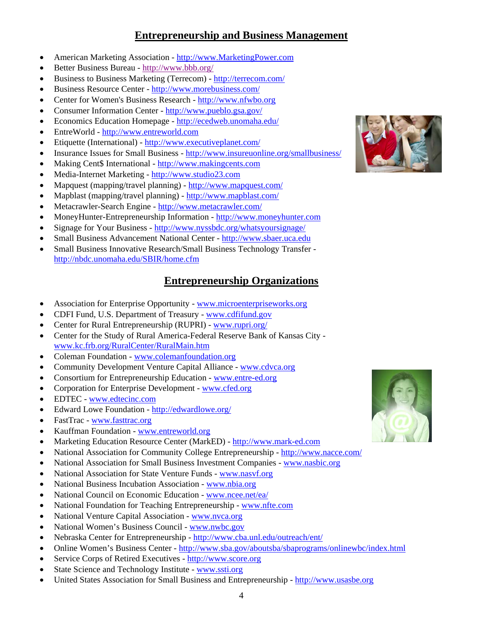## **Entrepreneurship and Business Management**

- American Marketing Association http://www.MarketingPower.com
- Better Business Bureau http://www.bbb.org/
- Business to Business Marketing (Terrecom) http://terrecom.com/
- Business Resource Center http://www.morebusiness.com/
- Center for Women's Business Research http://www.nfwbo.org
- Consumer Information Center http://www.pueblo.gsa.gov/
- Economics Education Homepage http://ecedweb.unomaha.edu/
- EntreWorld http://www.entreworld.com
- Etiquette (International) http://www.executiveplanet.com/
- Insurance Issues for Small Business http://www.insureuonline.org/smallbusiness/
- Making Cent\$ International http://www.makingcents.com
- Media-Internet Marketing http://www.studio23.com
- Mapquest (mapping/travel planning) http://www.mapquest.com/
- Mapblast (mapping/travel planning)  $-\frac{http://www.mapblast.com/}{$
- Metacrawler-Search Engine http://www.metacrawler.com/
- MoneyHunter-Entrepreneurship Information http://www.moneyhunter.com
- Signage for Your Business http://www.nyssbdc.org/whatsyoursignage/
- Small Business Advancement National Center http://www.sbaer.uca.edu
- Small Business Innovative Research/Small Business Technology Transfer http://nbdc.unomaha.edu/SBIR/home.cfm

#### **Entrepreneurship Organizations**

- Association for Enterprise Opportunity www.microenterpriseworks.org
- CDFI Fund, U.S. Department of Treasury www.cdfifund.gov
- Center for Rural Entrepreneurship (RUPRI) www.rupri.org/
- Center for the Study of Rural America-Federal Reserve Bank of Kansas City www.kc.frb.org/RuralCenter/RuralMain.htm
- Coleman Foundation www.colemanfoundation.org
- Community Development Venture Capital Alliance www.cdvca.org
- Consortium for Entrepreneurship Education www.entre-ed.org
- Corporation for Enterprise Development www.cfed.org
- EDTEC www.edtecinc.com
- Edward Lowe Foundation http://edwardlowe.org/
- FastTrac www.fasttrac.org
- Kauffman Foundation www.entreworld.org
- Marketing Education Resource Center (MarkED) http://www.mark-ed.com
- National Association for Community College Entrepreneurship http://www.nacce.com/
- National Association for Small Business Investment Companies www.nasbic.org
- National Association for State Venture Funds www.nasvf.org
- National Business Incubation Association www.nbia.org
- National Council on Economic Education www.ncee.net/ea/
- National Foundation for Teaching Entrepreneurship www.nfte.com
- National Venture Capital Association www.nvca.org
- National Women's Business Council www.nwbc.gov
- Nebraska Center for Entrepreneurship http://www.cba.unl.edu/outreach/ent/
- Online Women's Business Center http://www.sba.gov/aboutsba/sbaprograms/onlinewbc/index.html
- Service Corps of Retired Executives http://www.score.org
- State Science and Technology Institute www.ssti.org
- United States Association for Small Business and Entrepreneurship http://www.usasbe.org



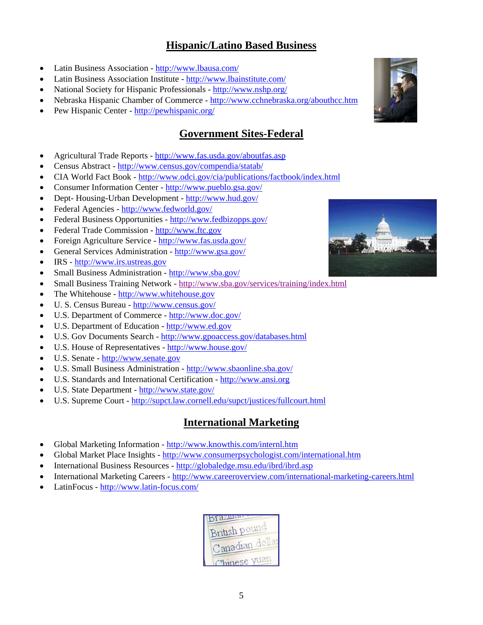#### **Hispanic/Latino Based Business**

- Latin Business Association http://www.lbausa.com/
- Latin Business Association Institute http://www.lbainstitute.com/
- National Society for Hispanic Professionals http://www.nshp.org/
- Nebraska Hispanic Chamber of Commerce http://www.cchnebraska.org/abouthcc.htm
- Pew Hispanic Center http://pewhispanic.org/

## **Government Sites-Federal**

- Agricultural Trade Reports http://www.fas.usda.gov/aboutfas.asp
- Census Abstract http://www.census.gov/compendia/statab/
- CIA World Fact Book http://www.odci.gov/cia/publications/factbook/index.html
- Consumer Information Center http://www.pueblo.gsa.gov/
- Dept- Housing-Urban Development http://www.hud.gov/
- Federal Agencies http://www.fedworld.gov/
- Federal Business Opportunities http://www.fedbizopps.gov/
- Federal Trade Commission http://www.ftc.gov
- Foreign Agriculture Service http://www.fas.usda.gov/
- General Services Administration http://www.gsa.gov/
- IRS http://www.irs.ustreas.gov
- Small Business Administration http://www.sba.gov/
- Small Business Training Network http://www.sba.gov/services/training/index.html
- The Whitehouse http://www.whitehouse.gov
- U. S. Census Bureau http://www.census.gov/
- U.S. Department of Commerce http://www.doc.gov/
- U.S. Department of Education http://www.ed.gov
- U.S. Gov Documents Search http://www.gpoaccess.gov/databases.html
- U.S. House of Representatives http://www.house.gov/
- U.S. Senate http://www.senate.gov
- U.S. Small Business Administration http://www.sbaonline.sba.gov/
- U.S. Standards and International Certification http://www.ansi.org
- U.S. State Department http://www.state.gov/
- U.S. Supreme Court http://supct.law.cornell.edu/supct/justices/fullcourt.html

#### **International Marketing**

- Global Marketing Information http://www.knowthis.com/internl.htm
- Global Market Place Insights http://www.consumerpsychologist.com/international.htm
- International Business Resources http://globaledge.msu.edu/ibrd/ibrd.asp
- International Marketing Careers http://www.careeroverview.com/international-marketing-careers.html
- LatinFocus http://www.latin-focus.com/





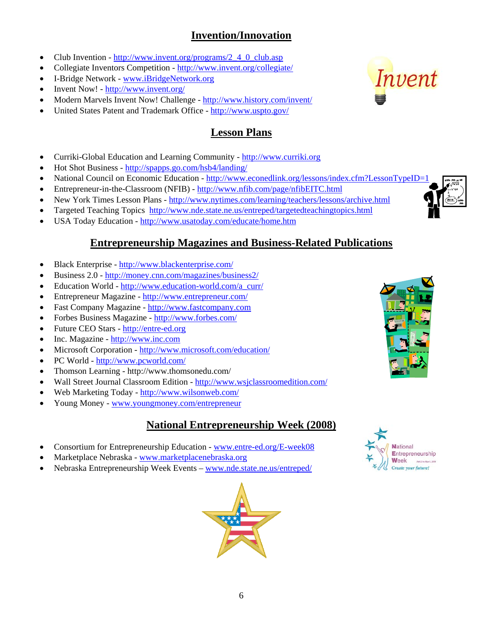# **Invention/Innovation**

- Club Invention http://www.invent.org/programs/2\_4\_0\_club.asp
- Collegiate Inventors Competition http://www.invent.org/collegiate/
- I-Bridge Network www.iBridgeNetwork.org
- Invent Now! http://www.invent.org/
- Modern Marvels Invent Now! Challenge http://www.history.com/invent/
- United States Patent and Trademark Office http://www.uspto.gov/

## **Lesson Plans**

- Curriki-Global Education and Learning Community http://www.curriki.org
- Hot Shot Business http://spapps.go.com/hsb4/landing/
- National Council on Economic Education http://www.econedlink.org/lessons/index.cfm?LessonTypeID=1
- Entrepreneur-in-the-Classroom (NFIB) http://www.nfib.com/page/nfibEITC.html
- New York Times Lesson Plans http://www.nytimes.com/learning/teachers/lessons/archive.html
- Targeted Teaching Topics http://www.nde.state.ne.us/entreped/targetedteachingtopics.html
- USA Today Education http://www.usatoday.com/educate/home.htm

## **Entrepreneurship Magazines and Business-Related Publications**

- Black Enterprise http://www.blackenterprise.com/
- Business 2.0 http://money.cnn.com/magazines/business2/
- Education World http://www.education-world.com/a\_curr/
- Entrepreneur Magazine http://www.entrepreneur.com/
- Fast Company Magazine http://www.fastcompany.com
- Forbes Business Magazine http://www.forbes.com/
- Future CEO Stars http://entre-ed.org
- Inc. Magazine http://www.inc.com
- Microsoft Corporation http://www.microsoft.com/education/
- PC World http://www.pcworld.com/
- Thomson Learning http://www.thomsonedu.com/
- Wall Street Journal Classroom Edition http://www.wsjclassroomedition.com/
- Web Marketing Today http://www.wilsonweb.com/
- Young Money www.youngmoney.com/entrepreneur

## **National Entrepreneurship Week (2008)**

- Consortium for Entrepreneurship Education www.entre-ed.org/E-week08
- Marketplace Nebraska www.marketplacenebraska.org
- Nebraska Entrepreneurship Week Events www.nde.state.ne.us/entreped/









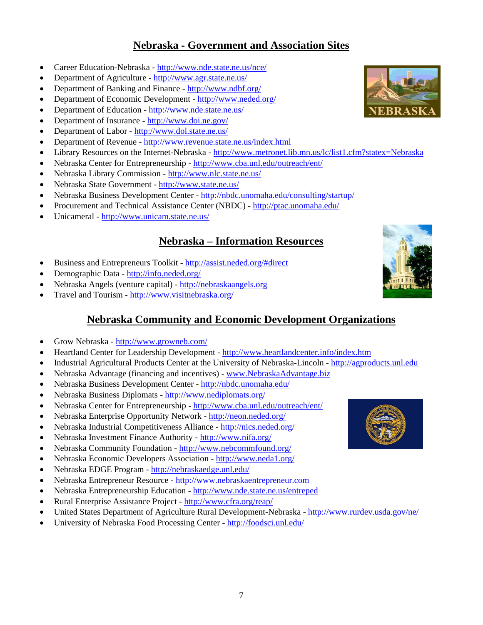#### **Nebraska - Government and Association Sites**

- Career Education-Nebraska http://www.nde.state.ne.us/nce/
- Department of Agriculture http://www.agr.state.ne.us/
- Department of Banking and Finance http://www.ndbf.org/
- Department of Economic Development http://www.neded.org/
- Department of Education http://www.nde.state.ne.us/
- Department of Insurance http://www.doi.ne.gov/
- Department of Labor http://www.dol.state.ne.us/
- Department of Revenue http://www.revenue.state.ne.us/index.html
- Library Resources on the Internet-Nebraska http://www.metronet.lib.mn.us/lc/list1.cfm?statex=Nebraska
- Nebraska Center for Entrepreneurship http://www.cba.unl.edu/outreach/ent/
- Nebraska Library Commission http://www.nlc.state.ne.us/
- Nebraska State Government http://www.state.ne.us/
- Nebraska Business Development Center http://nbdc.unomaha.edu/consulting/startup/
- Procurement and Technical Assistance Center (NBDC) http://ptac.unomaha.edu/
- Unicameral http://www.unicam.state.ne.us/

#### **Nebraska – Information Resources**

- Business and Entrepreneurs Toolkit http://assist.neded.org/#direct
- Demographic Data http://info.neded.org/
- Nebraska Angels (venture capital) http://nebraskaangels.org
- Travel and Tourism http://www.visitnebraska.org/

#### **Nebraska Community and Economic Development Organizations**

- Grow Nebraska http://www.growneb.com/
- Heartland Center for Leadership Development http://www.heartlandcenter.info/index.htm
- Industrial Agricultural Products Center at the University of Nebraska-Lincoln http://agproducts.unl.edu
- Nebraska Advantage (financing and incentives) www.NebraskaAdvantage.biz
- Nebraska Business Development Center http://nbdc.unomaha.edu/
- Nebraska Business Diplomats http://www.nediplomats.org/
- Nebraska Center for Entrepreneurship http://www.cba.unl.edu/outreach/ent/
- Nebraska Enterprise Opportunity Network http://neon.neded.org/
- Nebraska Industrial Competitiveness Alliance http://nics.neded.org/
- Nebraska Investment Finance Authority http://www.nifa.org/
- Nebraska Community Foundation http://www.nebcommfound.org/
- Nebraska Economic Developers Association http://www.neda1.org/
- Nebraska EDGE Program http://nebraskaedge.unl.edu/
- Nebraska Entrepreneur Resource http://www.nebraskaentrepreneur.com
- Nebraska Entrepreneurship Education http://www.nde.state.ne.us/entreped
- Rural Enterprise Assistance Project http://www.cfra.org/reap/
- United States Department of Agriculture Rural Development-Nebraska http://www.rurdev.usda.gov/ne/
- University of Nebraska Food Processing Center http://foodsci.unl.edu/





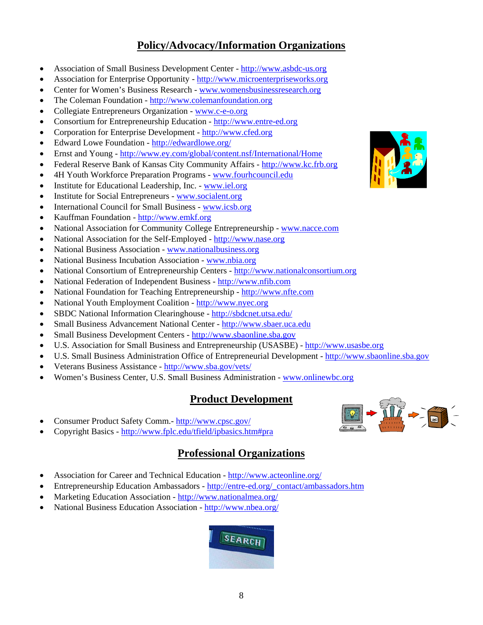#### **Policy/Advocacy/Information Organizations**

- Association of Small Business Development Center http://www.asbdc-us.org
- Association for Enterprise Opportunity http://www.microenterpriseworks.org
- Center for Women's Business Research www.womensbusinessresearch.org
- The Coleman Foundation http://www.colemanfoundation.org
- Collegiate Entrepreneurs Organization www.c-e-o.org
- Consortium for Entrepreneurship Education http://www.entre-ed.org
- Corporation for Enterprise Development http://www.cfed.org
- Edward Lowe Foundation http://edwardlowe.org/
- Ernst and Young http://www.ey.com/global/content.nsf/International/Home
- Federal Reserve Bank of Kansas City Community Affairs http://www.kc.frb.org
- 4H Youth Workforce Preparation Programs www.fourhcouncil.edu
- Institute for Educational Leadership, Inc. www.iel.org
- Institute for Social Entrepreneurs www.socialent.org
- International Council for Small Business www.icsb.org
- Kauffman Foundation http://www.emkf.org
- National Association for Community College Entrepreneurship www.nacce.com
- National Association for the Self-Employed http://www.nase.org
- National Business Association www.nationalbusiness.org
- National Business Incubation Association www.nbia.org
- National Consortium of Entrepreneurship Centers http://www.nationalconsortium.org
- National Federation of Independent Business http://www.nfib.com
- National Foundation for Teaching Entrepreneurship http://www.nfte.com
- National Youth Employment Coalition http://www.nyec.org
- SBDC National Information Clearinghouse http://sbdcnet.utsa.edu/
- Small Business Advancement National Center http://www.sbaer.uca.edu
- Small Business Development Centers http://www.sbaonline.sba.gov
- U.S. Association for Small Business and Entrepreneurship (USASBE) http://www.usasbe.org
- U.S. Small Business Administration Office of Entrepreneurial Development http://www.sbaonline.sba.gov
- Veterans Business Assistance http://www.sba.gov/vets/
- Women's Business Center, U.S. Small Business Administration www.onlinewbc.org

## **Product Development**

- Consumer Product Safety Comm.- http://www.cpsc.gov/
- Copyright Basics http://www.fplc.edu/tfield/ipbasics.htm#pra

## **Professional Organizations**

- Association for Career and Technical Education http://www.acteonline.org/
- Entrepreneurship Education Ambassadors http://entre-ed.org/\_contact/ambassadors.htm
- Marketing Education Association http://www.nationalmea.org/
- National Business Education Association http://www.nbea.org/





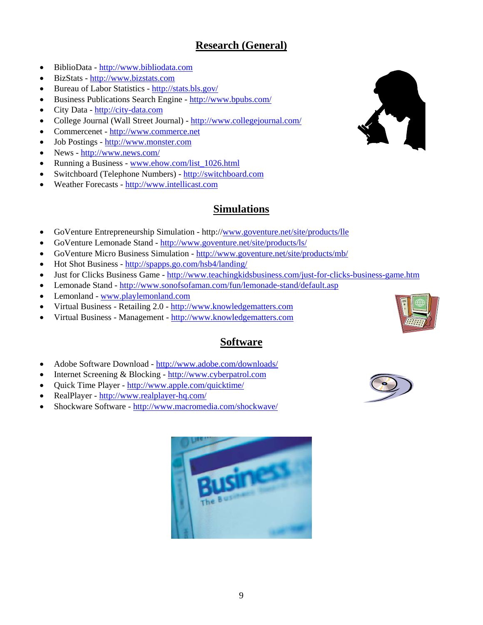# **Research (General)**

- BiblioData http://www.bibliodata.com
- BizStats http://www.bizstats.com
- Bureau of Labor Statistics http://stats.bls.gov/
- Business Publications Search Engine http://www.bpubs.com/
- City Data http://city-data.com
- College Journal (Wall Street Journal) http://www.collegejournal.com/
- Commercenet http://www.commerce.net
- Job Postings http://www.monster.com
- News http://www.news.com/
- Running a Business www.ehow.com/list\_1026.html
- Switchboard (Telephone Numbers) http://switchboard.com
- Weather Forecasts http://www.intellicast.com

# **Simulations**

- GoVenture Entrepreneurship Simulation http://www.goventure.net/site/products/lle
- GoVenture Lemonade Stand http://www.goventure.net/site/products/ls/
- GoVenture Micro Business Simulation http://www.goventure.net/site/products/mb/
- Hot Shot Business http://spapps.go.com/hsb4/landing/
- Just for Clicks Business Game http://www.teachingkidsbusiness.com/just-for-clicks-business-game.htm
- Lemonade Stand http://www.sonofsofaman.com/fun/lemonade-stand/default.asp
- Lemonland www.playlemonland.com
- Virtual Business Retailing 2.0 http://www.knowledgematters.com
- Virtual Business Management http://www.knowledgematters.com

# **Software**

- Adobe Software Download http://www.adobe.com/downloads/
- Internet Screening & Blocking http://www.cyberpatrol.com
- Quick Time Player http://www.apple.com/quicktime/
- RealPlayer http://www.realplayer-hq.com/
- Shockware Software http://www.macromedia.com/shockwave/